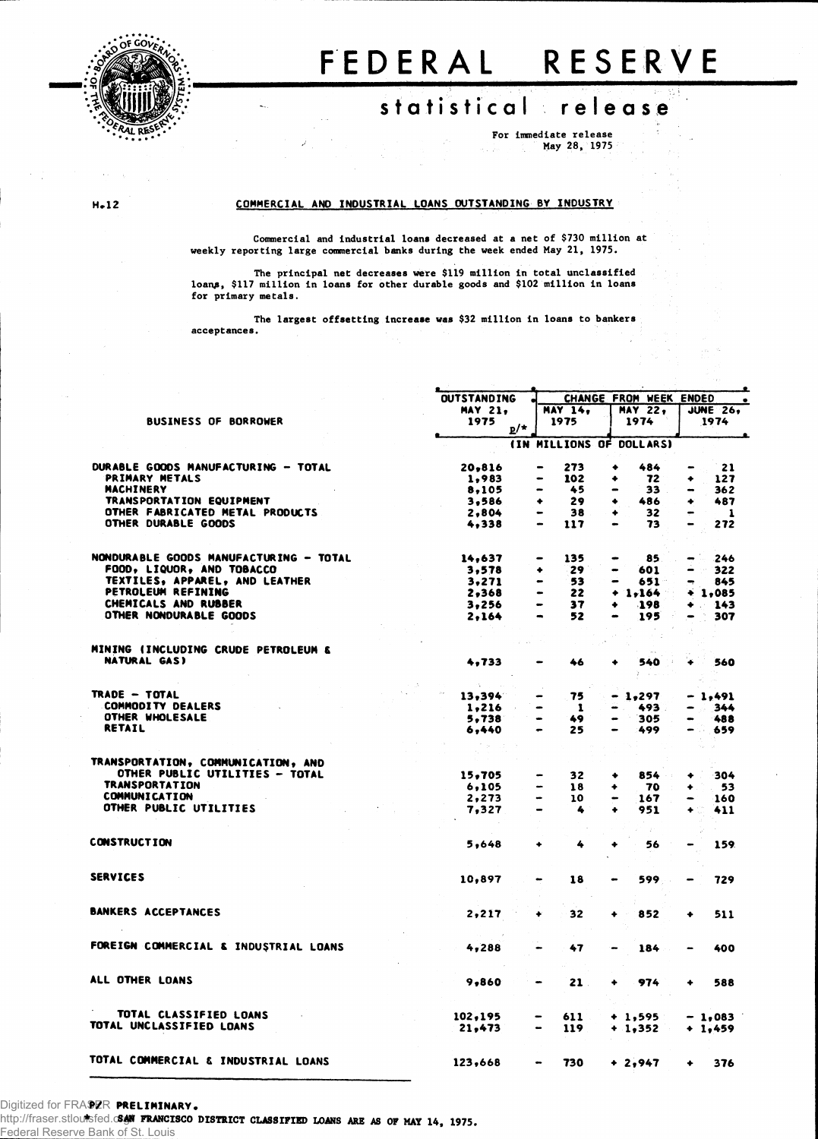

## FEDERA L RESERV E

## statistical release

**For immediate release May 28, 1975**

## **H.12 COMMERCIAL AND INDUSTRIAL LOANS OUTSTANDING BY INDUSTRY**

**Commercial and industrial loans decreased at a net of \$730 million at weekly reporting large commercial banks during the week ended May 21, 1975.**

**The principal net decreases were \$119 million in total unclassified loanf, \$117 million in loans for other durable goods and \$102 million in loans for primary metals.**

**acceptances. The largest offsetting increase was \$32 million in loans to bankers**

| <b>OUTSTANDING</b><br>CHANGE FROM WEEK ENDED<br><b>MAY 21,</b><br><b>MAY 14.</b><br><b>MAY 22.</b><br><b>JUNE 26.</b><br><b>BUSINESS OF BORROWER</b><br>1975<br>1975<br>1974<br>1974<br>$\mathbf{p}/\star$<br>(IN MILLIONS OF DOLLARS)<br>DURABLE GOODS MANUFACTURING - TOTAL<br>20,816<br>273<br>484<br>21<br>٠<br>$\bullet$<br>PRIMARY METALS<br>102<br>72<br>1,983<br>٠<br>127<br>-<br>٠<br><b>MACHINERY</b><br>45<br>8,105<br>$33 -$<br>$\bullet$<br>TRANSPORTATION EQUIPMENT<br>29<br>486<br>3.586<br>۰<br>٠<br>٠<br>OTHER FABRICATED METAL PRODUCTS<br>38<br>32<br>2,804<br>۰<br>OTHER DURABLE GOODS<br>73<br>4,338<br>117<br>NONDURABLE GOODS MANUFACTURING - TOTAL<br>14,637<br>135<br>85<br>$\hskip 1.5cm \bullet$<br>$\qquad \qquad \blacksquare$<br>$\qquad \qquad \blacksquare$<br>FOOD, LIQUOR, AND TOBACCO<br>29<br>322<br>3,578<br>601<br>٠<br>$\blacksquare$<br>TEXTILES, APPAREL, AND LEATHER<br>3.271<br>53<br>651 -<br>845<br>$\bullet$<br>PETROLEUM REFINING<br>2,368<br>22<br>$+1,164$<br>$+1,085$<br>$\bullet$<br>CHEMICALS AND RUBBER<br>3.256<br>37<br>.198<br>$+ 143$<br>۰<br>$\bullet$<br>OTHER NONDURABLE GOODS<br>52<br>195<br>2,164<br>MINING (INCLUDING CRUDE PETROLEUM &<br><b>NATURAL GAS)</b><br>4,733<br>46<br>540<br>3.<br>15.<br>TRADE - TOTAL<br>75<br>13,394<br>$-1,297$<br>- 1,491<br><b>COMMODITY DEALERS</b><br>1,216<br>$\mathbf{1}$<br>493.<br>$-344$<br>OTHER WHOLESALE<br>5,738<br>49<br>305<br>$\bullet$<br><b>RETAIL</b><br>6,440<br>25<br>499<br>сü.<br>$\bullet$<br>TRANSPORTATION, COMMUNICATION, AND<br>OTHER PUBLIC UTILITIES - TOTAL<br>15,705<br>32 <sub>2</sub><br>854<br>٠<br>۰<br><b>TRANSPORTATION</b><br>6,105<br>18<br>70<br>53<br>۰<br>۰<br><b>COMMUNICATION</b><br>2, 273<br>10<br>167<br>160<br>OTHER PUBLIC UTILITIES<br>7,327<br>951<br>4<br>411<br><b>CONSTRUCTION</b><br>5,648<br>4<br>56<br>159<br>۰<br><b>SERVICES</b><br>599<br>10,897<br>18<br>729<br>$\bullet$<br><b>BANKERS ACCEPTANCES</b><br>2,217<br>32<br>852<br>511<br>٠<br>۰<br>FOREIGN COMMERCIAL & INDUSTRIAL LOANS<br>4,288<br>47<br>400<br>184<br>ALL OTHER LOANS<br>9,860<br>21.<br>974<br>588<br>۰<br>TOTAL CLASSIFIED LOANS<br>102,195<br>611<br>$+1,595$<br>$-1.083$<br>TOTAL UNCLASSIFIED LOANS<br>21,473<br>119<br>$+ 1,352$<br>$+ 1.459$<br>TOTAL COMMERCIAL & INDUSTRIAL LOANS<br>123,668<br>730<br>$+2,947$<br>376<br>$\blacksquare$ |  |  |  |  |  |  |  |              |  |
|----------------------------------------------------------------------------------------------------------------------------------------------------------------------------------------------------------------------------------------------------------------------------------------------------------------------------------------------------------------------------------------------------------------------------------------------------------------------------------------------------------------------------------------------------------------------------------------------------------------------------------------------------------------------------------------------------------------------------------------------------------------------------------------------------------------------------------------------------------------------------------------------------------------------------------------------------------------------------------------------------------------------------------------------------------------------------------------------------------------------------------------------------------------------------------------------------------------------------------------------------------------------------------------------------------------------------------------------------------------------------------------------------------------------------------------------------------------------------------------------------------------------------------------------------------------------------------------------------------------------------------------------------------------------------------------------------------------------------------------------------------------------------------------------------------------------------------------------------------------------------------------------------------------------------------------------------------------------------------------------------------------------------------------------------------------------------------------------------------------------------------------------------------------------------------------------------------------------------------------------------------------------------------------------------------------------------------------------------------------------------------|--|--|--|--|--|--|--|--------------|--|
|                                                                                                                                                                                                                                                                                                                                                                                                                                                                                                                                                                                                                                                                                                                                                                                                                                                                                                                                                                                                                                                                                                                                                                                                                                                                                                                                                                                                                                                                                                                                                                                                                                                                                                                                                                                                                                                                                                                                                                                                                                                                                                                                                                                                                                                                                                                                                                                  |  |  |  |  |  |  |  | $\bullet$    |  |
|                                                                                                                                                                                                                                                                                                                                                                                                                                                                                                                                                                                                                                                                                                                                                                                                                                                                                                                                                                                                                                                                                                                                                                                                                                                                                                                                                                                                                                                                                                                                                                                                                                                                                                                                                                                                                                                                                                                                                                                                                                                                                                                                                                                                                                                                                                                                                                                  |  |  |  |  |  |  |  |              |  |
|                                                                                                                                                                                                                                                                                                                                                                                                                                                                                                                                                                                                                                                                                                                                                                                                                                                                                                                                                                                                                                                                                                                                                                                                                                                                                                                                                                                                                                                                                                                                                                                                                                                                                                                                                                                                                                                                                                                                                                                                                                                                                                                                                                                                                                                                                                                                                                                  |  |  |  |  |  |  |  |              |  |
|                                                                                                                                                                                                                                                                                                                                                                                                                                                                                                                                                                                                                                                                                                                                                                                                                                                                                                                                                                                                                                                                                                                                                                                                                                                                                                                                                                                                                                                                                                                                                                                                                                                                                                                                                                                                                                                                                                                                                                                                                                                                                                                                                                                                                                                                                                                                                                                  |  |  |  |  |  |  |  |              |  |
|                                                                                                                                                                                                                                                                                                                                                                                                                                                                                                                                                                                                                                                                                                                                                                                                                                                                                                                                                                                                                                                                                                                                                                                                                                                                                                                                                                                                                                                                                                                                                                                                                                                                                                                                                                                                                                                                                                                                                                                                                                                                                                                                                                                                                                                                                                                                                                                  |  |  |  |  |  |  |  |              |  |
|                                                                                                                                                                                                                                                                                                                                                                                                                                                                                                                                                                                                                                                                                                                                                                                                                                                                                                                                                                                                                                                                                                                                                                                                                                                                                                                                                                                                                                                                                                                                                                                                                                                                                                                                                                                                                                                                                                                                                                                                                                                                                                                                                                                                                                                                                                                                                                                  |  |  |  |  |  |  |  |              |  |
|                                                                                                                                                                                                                                                                                                                                                                                                                                                                                                                                                                                                                                                                                                                                                                                                                                                                                                                                                                                                                                                                                                                                                                                                                                                                                                                                                                                                                                                                                                                                                                                                                                                                                                                                                                                                                                                                                                                                                                                                                                                                                                                                                                                                                                                                                                                                                                                  |  |  |  |  |  |  |  |              |  |
|                                                                                                                                                                                                                                                                                                                                                                                                                                                                                                                                                                                                                                                                                                                                                                                                                                                                                                                                                                                                                                                                                                                                                                                                                                                                                                                                                                                                                                                                                                                                                                                                                                                                                                                                                                                                                                                                                                                                                                                                                                                                                                                                                                                                                                                                                                                                                                                  |  |  |  |  |  |  |  |              |  |
|                                                                                                                                                                                                                                                                                                                                                                                                                                                                                                                                                                                                                                                                                                                                                                                                                                                                                                                                                                                                                                                                                                                                                                                                                                                                                                                                                                                                                                                                                                                                                                                                                                                                                                                                                                                                                                                                                                                                                                                                                                                                                                                                                                                                                                                                                                                                                                                  |  |  |  |  |  |  |  | 362          |  |
|                                                                                                                                                                                                                                                                                                                                                                                                                                                                                                                                                                                                                                                                                                                                                                                                                                                                                                                                                                                                                                                                                                                                                                                                                                                                                                                                                                                                                                                                                                                                                                                                                                                                                                                                                                                                                                                                                                                                                                                                                                                                                                                                                                                                                                                                                                                                                                                  |  |  |  |  |  |  |  | 487          |  |
|                                                                                                                                                                                                                                                                                                                                                                                                                                                                                                                                                                                                                                                                                                                                                                                                                                                                                                                                                                                                                                                                                                                                                                                                                                                                                                                                                                                                                                                                                                                                                                                                                                                                                                                                                                                                                                                                                                                                                                                                                                                                                                                                                                                                                                                                                                                                                                                  |  |  |  |  |  |  |  | $\mathbf{1}$ |  |
|                                                                                                                                                                                                                                                                                                                                                                                                                                                                                                                                                                                                                                                                                                                                                                                                                                                                                                                                                                                                                                                                                                                                                                                                                                                                                                                                                                                                                                                                                                                                                                                                                                                                                                                                                                                                                                                                                                                                                                                                                                                                                                                                                                                                                                                                                                                                                                                  |  |  |  |  |  |  |  | 272          |  |
|                                                                                                                                                                                                                                                                                                                                                                                                                                                                                                                                                                                                                                                                                                                                                                                                                                                                                                                                                                                                                                                                                                                                                                                                                                                                                                                                                                                                                                                                                                                                                                                                                                                                                                                                                                                                                                                                                                                                                                                                                                                                                                                                                                                                                                                                                                                                                                                  |  |  |  |  |  |  |  |              |  |
|                                                                                                                                                                                                                                                                                                                                                                                                                                                                                                                                                                                                                                                                                                                                                                                                                                                                                                                                                                                                                                                                                                                                                                                                                                                                                                                                                                                                                                                                                                                                                                                                                                                                                                                                                                                                                                                                                                                                                                                                                                                                                                                                                                                                                                                                                                                                                                                  |  |  |  |  |  |  |  | 246          |  |
|                                                                                                                                                                                                                                                                                                                                                                                                                                                                                                                                                                                                                                                                                                                                                                                                                                                                                                                                                                                                                                                                                                                                                                                                                                                                                                                                                                                                                                                                                                                                                                                                                                                                                                                                                                                                                                                                                                                                                                                                                                                                                                                                                                                                                                                                                                                                                                                  |  |  |  |  |  |  |  |              |  |
|                                                                                                                                                                                                                                                                                                                                                                                                                                                                                                                                                                                                                                                                                                                                                                                                                                                                                                                                                                                                                                                                                                                                                                                                                                                                                                                                                                                                                                                                                                                                                                                                                                                                                                                                                                                                                                                                                                                                                                                                                                                                                                                                                                                                                                                                                                                                                                                  |  |  |  |  |  |  |  |              |  |
|                                                                                                                                                                                                                                                                                                                                                                                                                                                                                                                                                                                                                                                                                                                                                                                                                                                                                                                                                                                                                                                                                                                                                                                                                                                                                                                                                                                                                                                                                                                                                                                                                                                                                                                                                                                                                                                                                                                                                                                                                                                                                                                                                                                                                                                                                                                                                                                  |  |  |  |  |  |  |  |              |  |
|                                                                                                                                                                                                                                                                                                                                                                                                                                                                                                                                                                                                                                                                                                                                                                                                                                                                                                                                                                                                                                                                                                                                                                                                                                                                                                                                                                                                                                                                                                                                                                                                                                                                                                                                                                                                                                                                                                                                                                                                                                                                                                                                                                                                                                                                                                                                                                                  |  |  |  |  |  |  |  |              |  |
|                                                                                                                                                                                                                                                                                                                                                                                                                                                                                                                                                                                                                                                                                                                                                                                                                                                                                                                                                                                                                                                                                                                                                                                                                                                                                                                                                                                                                                                                                                                                                                                                                                                                                                                                                                                                                                                                                                                                                                                                                                                                                                                                                                                                                                                                                                                                                                                  |  |  |  |  |  |  |  |              |  |
|                                                                                                                                                                                                                                                                                                                                                                                                                                                                                                                                                                                                                                                                                                                                                                                                                                                                                                                                                                                                                                                                                                                                                                                                                                                                                                                                                                                                                                                                                                                                                                                                                                                                                                                                                                                                                                                                                                                                                                                                                                                                                                                                                                                                                                                                                                                                                                                  |  |  |  |  |  |  |  | 307          |  |
|                                                                                                                                                                                                                                                                                                                                                                                                                                                                                                                                                                                                                                                                                                                                                                                                                                                                                                                                                                                                                                                                                                                                                                                                                                                                                                                                                                                                                                                                                                                                                                                                                                                                                                                                                                                                                                                                                                                                                                                                                                                                                                                                                                                                                                                                                                                                                                                  |  |  |  |  |  |  |  |              |  |
|                                                                                                                                                                                                                                                                                                                                                                                                                                                                                                                                                                                                                                                                                                                                                                                                                                                                                                                                                                                                                                                                                                                                                                                                                                                                                                                                                                                                                                                                                                                                                                                                                                                                                                                                                                                                                                                                                                                                                                                                                                                                                                                                                                                                                                                                                                                                                                                  |  |  |  |  |  |  |  |              |  |
|                                                                                                                                                                                                                                                                                                                                                                                                                                                                                                                                                                                                                                                                                                                                                                                                                                                                                                                                                                                                                                                                                                                                                                                                                                                                                                                                                                                                                                                                                                                                                                                                                                                                                                                                                                                                                                                                                                                                                                                                                                                                                                                                                                                                                                                                                                                                                                                  |  |  |  |  |  |  |  | 560          |  |
|                                                                                                                                                                                                                                                                                                                                                                                                                                                                                                                                                                                                                                                                                                                                                                                                                                                                                                                                                                                                                                                                                                                                                                                                                                                                                                                                                                                                                                                                                                                                                                                                                                                                                                                                                                                                                                                                                                                                                                                                                                                                                                                                                                                                                                                                                                                                                                                  |  |  |  |  |  |  |  |              |  |
|                                                                                                                                                                                                                                                                                                                                                                                                                                                                                                                                                                                                                                                                                                                                                                                                                                                                                                                                                                                                                                                                                                                                                                                                                                                                                                                                                                                                                                                                                                                                                                                                                                                                                                                                                                                                                                                                                                                                                                                                                                                                                                                                                                                                                                                                                                                                                                                  |  |  |  |  |  |  |  |              |  |
|                                                                                                                                                                                                                                                                                                                                                                                                                                                                                                                                                                                                                                                                                                                                                                                                                                                                                                                                                                                                                                                                                                                                                                                                                                                                                                                                                                                                                                                                                                                                                                                                                                                                                                                                                                                                                                                                                                                                                                                                                                                                                                                                                                                                                                                                                                                                                                                  |  |  |  |  |  |  |  |              |  |
|                                                                                                                                                                                                                                                                                                                                                                                                                                                                                                                                                                                                                                                                                                                                                                                                                                                                                                                                                                                                                                                                                                                                                                                                                                                                                                                                                                                                                                                                                                                                                                                                                                                                                                                                                                                                                                                                                                                                                                                                                                                                                                                                                                                                                                                                                                                                                                                  |  |  |  |  |  |  |  | 488          |  |
|                                                                                                                                                                                                                                                                                                                                                                                                                                                                                                                                                                                                                                                                                                                                                                                                                                                                                                                                                                                                                                                                                                                                                                                                                                                                                                                                                                                                                                                                                                                                                                                                                                                                                                                                                                                                                                                                                                                                                                                                                                                                                                                                                                                                                                                                                                                                                                                  |  |  |  |  |  |  |  | 659          |  |
|                                                                                                                                                                                                                                                                                                                                                                                                                                                                                                                                                                                                                                                                                                                                                                                                                                                                                                                                                                                                                                                                                                                                                                                                                                                                                                                                                                                                                                                                                                                                                                                                                                                                                                                                                                                                                                                                                                                                                                                                                                                                                                                                                                                                                                                                                                                                                                                  |  |  |  |  |  |  |  |              |  |
|                                                                                                                                                                                                                                                                                                                                                                                                                                                                                                                                                                                                                                                                                                                                                                                                                                                                                                                                                                                                                                                                                                                                                                                                                                                                                                                                                                                                                                                                                                                                                                                                                                                                                                                                                                                                                                                                                                                                                                                                                                                                                                                                                                                                                                                                                                                                                                                  |  |  |  |  |  |  |  |              |  |
|                                                                                                                                                                                                                                                                                                                                                                                                                                                                                                                                                                                                                                                                                                                                                                                                                                                                                                                                                                                                                                                                                                                                                                                                                                                                                                                                                                                                                                                                                                                                                                                                                                                                                                                                                                                                                                                                                                                                                                                                                                                                                                                                                                                                                                                                                                                                                                                  |  |  |  |  |  |  |  | 304          |  |
|                                                                                                                                                                                                                                                                                                                                                                                                                                                                                                                                                                                                                                                                                                                                                                                                                                                                                                                                                                                                                                                                                                                                                                                                                                                                                                                                                                                                                                                                                                                                                                                                                                                                                                                                                                                                                                                                                                                                                                                                                                                                                                                                                                                                                                                                                                                                                                                  |  |  |  |  |  |  |  |              |  |
|                                                                                                                                                                                                                                                                                                                                                                                                                                                                                                                                                                                                                                                                                                                                                                                                                                                                                                                                                                                                                                                                                                                                                                                                                                                                                                                                                                                                                                                                                                                                                                                                                                                                                                                                                                                                                                                                                                                                                                                                                                                                                                                                                                                                                                                                                                                                                                                  |  |  |  |  |  |  |  |              |  |
|                                                                                                                                                                                                                                                                                                                                                                                                                                                                                                                                                                                                                                                                                                                                                                                                                                                                                                                                                                                                                                                                                                                                                                                                                                                                                                                                                                                                                                                                                                                                                                                                                                                                                                                                                                                                                                                                                                                                                                                                                                                                                                                                                                                                                                                                                                                                                                                  |  |  |  |  |  |  |  |              |  |
|                                                                                                                                                                                                                                                                                                                                                                                                                                                                                                                                                                                                                                                                                                                                                                                                                                                                                                                                                                                                                                                                                                                                                                                                                                                                                                                                                                                                                                                                                                                                                                                                                                                                                                                                                                                                                                                                                                                                                                                                                                                                                                                                                                                                                                                                                                                                                                                  |  |  |  |  |  |  |  |              |  |
|                                                                                                                                                                                                                                                                                                                                                                                                                                                                                                                                                                                                                                                                                                                                                                                                                                                                                                                                                                                                                                                                                                                                                                                                                                                                                                                                                                                                                                                                                                                                                                                                                                                                                                                                                                                                                                                                                                                                                                                                                                                                                                                                                                                                                                                                                                                                                                                  |  |  |  |  |  |  |  |              |  |
|                                                                                                                                                                                                                                                                                                                                                                                                                                                                                                                                                                                                                                                                                                                                                                                                                                                                                                                                                                                                                                                                                                                                                                                                                                                                                                                                                                                                                                                                                                                                                                                                                                                                                                                                                                                                                                                                                                                                                                                                                                                                                                                                                                                                                                                                                                                                                                                  |  |  |  |  |  |  |  |              |  |
|                                                                                                                                                                                                                                                                                                                                                                                                                                                                                                                                                                                                                                                                                                                                                                                                                                                                                                                                                                                                                                                                                                                                                                                                                                                                                                                                                                                                                                                                                                                                                                                                                                                                                                                                                                                                                                                                                                                                                                                                                                                                                                                                                                                                                                                                                                                                                                                  |  |  |  |  |  |  |  |              |  |
|                                                                                                                                                                                                                                                                                                                                                                                                                                                                                                                                                                                                                                                                                                                                                                                                                                                                                                                                                                                                                                                                                                                                                                                                                                                                                                                                                                                                                                                                                                                                                                                                                                                                                                                                                                                                                                                                                                                                                                                                                                                                                                                                                                                                                                                                                                                                                                                  |  |  |  |  |  |  |  |              |  |
|                                                                                                                                                                                                                                                                                                                                                                                                                                                                                                                                                                                                                                                                                                                                                                                                                                                                                                                                                                                                                                                                                                                                                                                                                                                                                                                                                                                                                                                                                                                                                                                                                                                                                                                                                                                                                                                                                                                                                                                                                                                                                                                                                                                                                                                                                                                                                                                  |  |  |  |  |  |  |  |              |  |
|                                                                                                                                                                                                                                                                                                                                                                                                                                                                                                                                                                                                                                                                                                                                                                                                                                                                                                                                                                                                                                                                                                                                                                                                                                                                                                                                                                                                                                                                                                                                                                                                                                                                                                                                                                                                                                                                                                                                                                                                                                                                                                                                                                                                                                                                                                                                                                                  |  |  |  |  |  |  |  |              |  |
|                                                                                                                                                                                                                                                                                                                                                                                                                                                                                                                                                                                                                                                                                                                                                                                                                                                                                                                                                                                                                                                                                                                                                                                                                                                                                                                                                                                                                                                                                                                                                                                                                                                                                                                                                                                                                                                                                                                                                                                                                                                                                                                                                                                                                                                                                                                                                                                  |  |  |  |  |  |  |  |              |  |
|                                                                                                                                                                                                                                                                                                                                                                                                                                                                                                                                                                                                                                                                                                                                                                                                                                                                                                                                                                                                                                                                                                                                                                                                                                                                                                                                                                                                                                                                                                                                                                                                                                                                                                                                                                                                                                                                                                                                                                                                                                                                                                                                                                                                                                                                                                                                                                                  |  |  |  |  |  |  |  |              |  |
|                                                                                                                                                                                                                                                                                                                                                                                                                                                                                                                                                                                                                                                                                                                                                                                                                                                                                                                                                                                                                                                                                                                                                                                                                                                                                                                                                                                                                                                                                                                                                                                                                                                                                                                                                                                                                                                                                                                                                                                                                                                                                                                                                                                                                                                                                                                                                                                  |  |  |  |  |  |  |  |              |  |
|                                                                                                                                                                                                                                                                                                                                                                                                                                                                                                                                                                                                                                                                                                                                                                                                                                                                                                                                                                                                                                                                                                                                                                                                                                                                                                                                                                                                                                                                                                                                                                                                                                                                                                                                                                                                                                                                                                                                                                                                                                                                                                                                                                                                                                                                                                                                                                                  |  |  |  |  |  |  |  |              |  |
|                                                                                                                                                                                                                                                                                                                                                                                                                                                                                                                                                                                                                                                                                                                                                                                                                                                                                                                                                                                                                                                                                                                                                                                                                                                                                                                                                                                                                                                                                                                                                                                                                                                                                                                                                                                                                                                                                                                                                                                                                                                                                                                                                                                                                                                                                                                                                                                  |  |  |  |  |  |  |  |              |  |
|                                                                                                                                                                                                                                                                                                                                                                                                                                                                                                                                                                                                                                                                                                                                                                                                                                                                                                                                                                                                                                                                                                                                                                                                                                                                                                                                                                                                                                                                                                                                                                                                                                                                                                                                                                                                                                                                                                                                                                                                                                                                                                                                                                                                                                                                                                                                                                                  |  |  |  |  |  |  |  |              |  |
|                                                                                                                                                                                                                                                                                                                                                                                                                                                                                                                                                                                                                                                                                                                                                                                                                                                                                                                                                                                                                                                                                                                                                                                                                                                                                                                                                                                                                                                                                                                                                                                                                                                                                                                                                                                                                                                                                                                                                                                                                                                                                                                                                                                                                                                                                                                                                                                  |  |  |  |  |  |  |  |              |  |
|                                                                                                                                                                                                                                                                                                                                                                                                                                                                                                                                                                                                                                                                                                                                                                                                                                                                                                                                                                                                                                                                                                                                                                                                                                                                                                                                                                                                                                                                                                                                                                                                                                                                                                                                                                                                                                                                                                                                                                                                                                                                                                                                                                                                                                                                                                                                                                                  |  |  |  |  |  |  |  |              |  |

## Digitized for FRASER PRELIMINARY.

**> SAN FRANCISCO DISTRICT CLASSIFIED LOANS ARE AS OF MAY 14, 1975.** http://fraser.stlouisfed.org/ Federal Reserve Bank of St. Louis